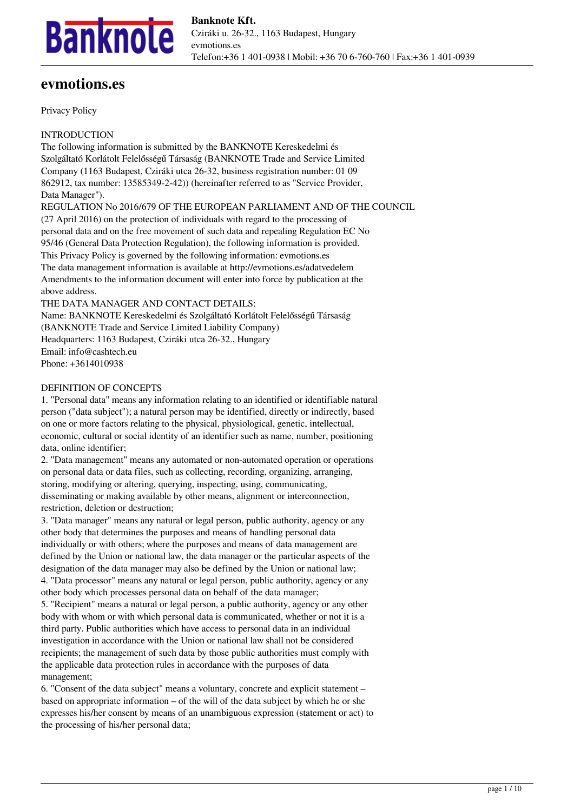

# **evmotions.es**

Privacy Policy

INTRODUCTION

The following information is submitted by the BANKNOTE Kereskedelmi és Szolgáltató Korlátolt Felelősségű Társaság (BANKNOTE Trade and Service Limited Company (1163 Budapest, Cziráki utca 26-32, business registration number: 01 09 862912, tax number: 13585349-2-42)) (hereinafter referred to as "Service Provider, Data Manager").

REGULATION No 2016/679 OF THE EUROPEAN PARLIAMENT AND OF THE COUNCIL (27 April 2016) on the protection of individuals with regard to the processing of personal data and on the free movement of such data and repealing Regulation EC No 95/46 (General Data Protection Regulation), the following information is provided. This Privacy Policy is governed by the following information: evmotions.es The data management information is available at http://evmotions.es/adatvedelem Amendments to the information document will enter into force by publication at the above address.

THE DATA MANAGER AND CONTACT DETAILS:

Name: BANKNOTE Kereskedelmi és Szolgáltató Korlátolt Felelősségű Társaság (BANKNOTE Trade and Service Limited Liability Company) Headquarters: 1163 Budapest, Cziráki utca 26-32., Hungary Email: info@cashtech.eu Phone: +3614010938

## DEFINITION OF CONCEPTS

1. "Personal data" means any information relating to an identified or identifiable natural person ("data subject"); a natural person may be identified, directly or indirectly, based on one or more factors relating to the physical, physiological, genetic, intellectual, economic, cultural or social identity of an identifier such as name, number, positioning data, online identifier;

2. "Data management" means any automated or non-automated operation or operations on personal data or data files, such as collecting, recording, organizing, arranging, storing, modifying or altering, querying, inspecting, using, communicating, disseminating or making available by other means, alignment or interconnection, restriction, deletion or destruction;

3. "Data manager" means any natural or legal person, public authority, agency or any other body that determines the purposes and means of handling personal data individually or with others; where the purposes and means of data management are defined by the Union or national law, the data manager or the particular aspects of the designation of the data manager may also be defined by the Union or national law; 4. "Data processor" means any natural or legal person, public authority, agency or any other body which processes personal data on behalf of the data manager; 5. "Recipient" means a natural or legal person, a public authority, agency or any other

body with whom or with which personal data is communicated, whether or not it is a third party. Public authorities which have access to personal data in an individual investigation in accordance with the Union or national law shall not be considered recipients; the management of such data by those public authorities must comply with the applicable data protection rules in accordance with the purposes of data management;

6. "Consent of the data subject" means a voluntary, concrete and explicit statement – based on appropriate information – of the will of the data subject by which he or she expresses his/her consent by means of an unambiguous expression (statement or act) to the processing of his/her personal data;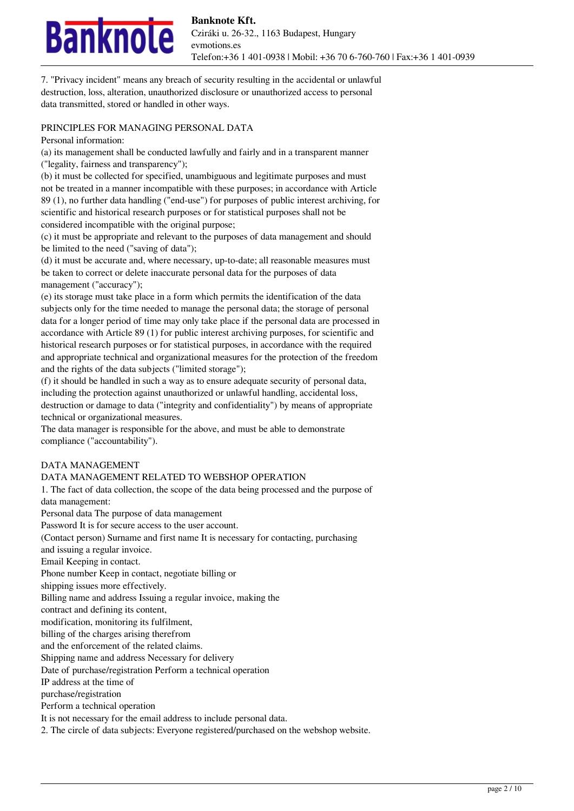

7. "Privacy incident" means any breach of security resulting in the accidental or unlawful destruction, loss, alteration, unauthorized disclosure or unauthorized access to personal data transmitted, stored or handled in other ways.

#### PRINCIPLES FOR MANAGING PERSONAL DATA

Personal information:

(a) its management shall be conducted lawfully and fairly and in a transparent manner ("legality, fairness and transparency");

(b) it must be collected for specified, unambiguous and legitimate purposes and must not be treated in a manner incompatible with these purposes; in accordance with Article 89 (1), no further data handling ("end-use") for purposes of public interest archiving, for scientific and historical research purposes or for statistical purposes shall not be considered incompatible with the original purpose;

(c) it must be appropriate and relevant to the purposes of data management and should be limited to the need ("saving of data");

(d) it must be accurate and, where necessary, up-to-date; all reasonable measures must be taken to correct or delete inaccurate personal data for the purposes of data management ("accuracy");

(e) its storage must take place in a form which permits the identification of the data subjects only for the time needed to manage the personal data; the storage of personal data for a longer period of time may only take place if the personal data are processed in accordance with Article 89 (1) for public interest archiving purposes, for scientific and historical research purposes or for statistical purposes, in accordance with the required and appropriate technical and organizational measures for the protection of the freedom and the rights of the data subjects ("limited storage");

(f) it should be handled in such a way as to ensure adequate security of personal data, including the protection against unauthorized or unlawful handling, accidental loss, destruction or damage to data ("integrity and confidentiality") by means of appropriate technical or organizational measures.

The data manager is responsible for the above, and must be able to demonstrate compliance ("accountability").

#### DATA MANAGEMENT

## DATA MANAGEMENT RELATED TO WEBSHOP OPERATION

1. The fact of data collection, the scope of the data being processed and the purpose of data management:

Personal data The purpose of data management Password It is for secure access to the user account.

(Contact person) Surname and first name It is necessary for contacting, purchasing

and issuing a regular invoice.

Email Keeping in contact.

Phone number Keep in contact, negotiate billing or

shipping issues more effectively.

Billing name and address Issuing a regular invoice, making the

contract and defining its content,

modification, monitoring its fulfilment,

billing of the charges arising therefrom

and the enforcement of the related claims.

Shipping name and address Necessary for delivery

Date of purchase/registration Perform a technical operation

IP address at the time of

purchase/registration

Perform a technical operation

It is not necessary for the email address to include personal data.

2. The circle of data subjects: Everyone registered/purchased on the webshop website.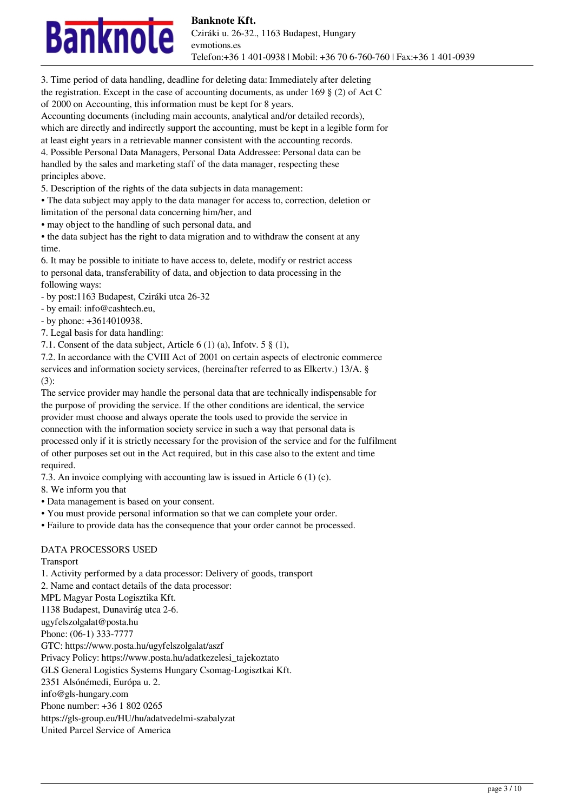

3. Time period of data handling, deadline for deleting data: Immediately after deleting the registration. Except in the case of accounting documents, as under 169  $\S$  (2) of Act C of 2000 on Accounting, this information must be kept for 8 years.

Accounting documents (including main accounts, analytical and/or detailed records), which are directly and indirectly support the accounting, must be kept in a legible form for at least eight years in a retrievable manner consistent with the accounting records.

4. Possible Personal Data Managers, Personal Data Addressee: Personal data can be handled by the sales and marketing staff of the data manager, respecting these principles above.

5. Description of the rights of the data subjects in data management:

• The data subject may apply to the data manager for access to, correction, deletion or

limitation of the personal data concerning him/her, and

• may object to the handling of such personal data, and

• the data subject has the right to data migration and to withdraw the consent at any time.

6. It may be possible to initiate to have access to, delete, modify or restrict access to personal data, transferability of data, and objection to data processing in the following ways:

- by post:1163 Budapest, Cziráki utca 26-32

- by email: info@cashtech.eu,

- by phone: +3614010938.

7. Legal basis for data handling:

7.1. Consent of the data subject, Article 6 (1) (a), Infotv. 5 § (1),

7.2. In accordance with the CVIII Act of 2001 on certain aspects of electronic commerce services and information society services, (hereinafter referred to as Elkertv.) 13/A. §

(3):

The service provider may handle the personal data that are technically indispensable for the purpose of providing the service. If the other conditions are identical, the service provider must choose and always operate the tools used to provide the service in connection with the information society service in such a way that personal data is processed only if it is strictly necessary for the provision of the service and for the fulfilment of other purposes set out in the Act required, but in this case also to the extent and time required.

7.3. An invoice complying with accounting law is issued in Article 6 (1) (c).

8. We inform you that

• Data management is based on your consent.

• You must provide personal information so that we can complete your order.

• Failure to provide data has the consequence that your order cannot be processed.

# DATA PROCESSORS USED

Transport

1. Activity performed by a data processor: Delivery of goods, transport 2. Name and contact details of the data processor: MPL Magyar Posta Logisztika Kft. 1138 Budapest, Dunavirág utca 2-6. ugyfelszolgalat@posta.hu Phone: (06-1) 333-7777 GTC: https://www.posta.hu/ugyfelszolgalat/aszf Privacy Policy: https://www.posta.hu/adatkezelesi\_tajekoztato GLS General Logistics Systems Hungary Csomag-Logisztkai Kft. 2351 Alsónémedi, Európa u. 2. info@gls-hungary.com Phone number: +36 1 802 0265 https://gls-group.eu/HU/hu/adatvedelmi-szabalyzat United Parcel Service of America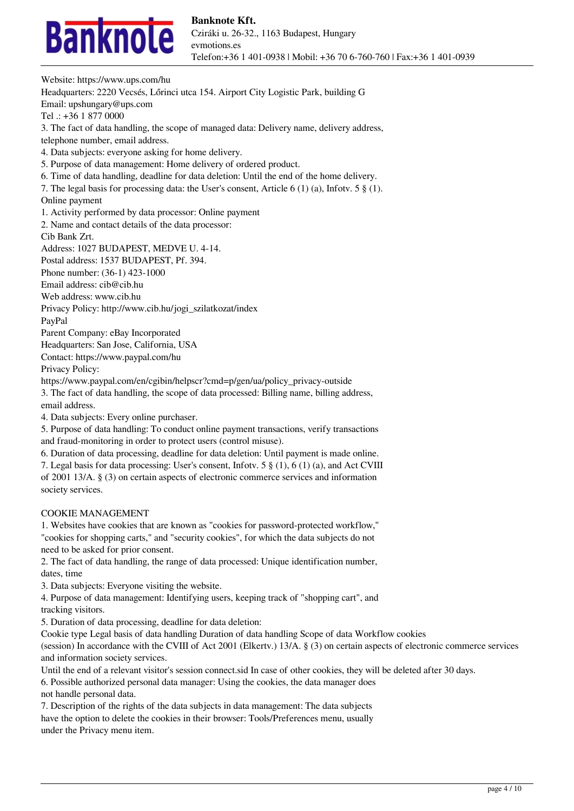

Website: https://www.ups.com/hu Headquarters: 2220 Vecsés, Lőrinci utca 154. Airport City Logistic Park, building G Email: upshungary@ups.com Tel .: +36 1 877 0000 3. The fact of data handling, the scope of managed data: Delivery name, delivery address, telephone number, email address. 4. Data subjects: everyone asking for home delivery. 5. Purpose of data management: Home delivery of ordered product. 6. Time of data handling, deadline for data deletion: Until the end of the home delivery. 7. The legal basis for processing data: the User's consent, Article 6 (1) (a), Infotv. 5 § (1). Online payment 1. Activity performed by data processor: Online payment 2. Name and contact details of the data processor: Cib Bank Zrt. Address: 1027 BUDAPEST, MEDVE U. 4-14. Postal address: 1537 BUDAPEST, Pf. 394. Phone number: (36-1) 423-1000 Email address: cib@cib.hu Web address: www.cib.hu Privacy Policy: http://www.cib.hu/jogi\_szilatkozat/index PayPal Parent Company: eBay Incorporated Headquarters: San Jose, California, USA Contact: https://www.paypal.com/hu Privacy Policy: https://www.paypal.com/en/cgibin/helpscr?cmd=p/gen/ua/policy\_privacy-outside 3. The fact of data handling, the scope of data processed: Billing name, billing address, email address. 4. Data subjects: Every online purchaser. 5. Purpose of data handling: To conduct online payment transactions, verify transactions and fraud-monitoring in order to protect users (control misuse). 6. Duration of data processing, deadline for data deletion: Until payment is made online. 7. Legal basis for data processing: User's consent, Infotv. 5 § (1), 6 (1) (a), and Act CVIII of 2001 13/A. § (3) on certain aspects of electronic commerce services and information society services.

#### COOKIE MANAGEMENT

1. Websites have cookies that are known as "cookies for password-protected workflow," "cookies for shopping carts," and "security cookies", for which the data subjects do not need to be asked for prior consent.

2. The fact of data handling, the range of data processed: Unique identification number, dates, time

3. Data subjects: Everyone visiting the website.

4. Purpose of data management: Identifying users, keeping track of "shopping cart", and tracking visitors.

5. Duration of data processing, deadline for data deletion:

Cookie type Legal basis of data handling Duration of data handling Scope of data Workflow cookies

(session) In accordance with the CVIII of Act 2001 (Elkertv.) 13/A. § (3) on certain aspects of electronic commerce services and information society services.

Until the end of a relevant visitor's session connect.sid In case of other cookies, they will be deleted after 30 days.

6. Possible authorized personal data manager: Using the cookies, the data manager does not handle personal data.

7. Description of the rights of the data subjects in data management: The data subjects have the option to delete the cookies in their browser: Tools/Preferences menu, usually under the Privacy menu item.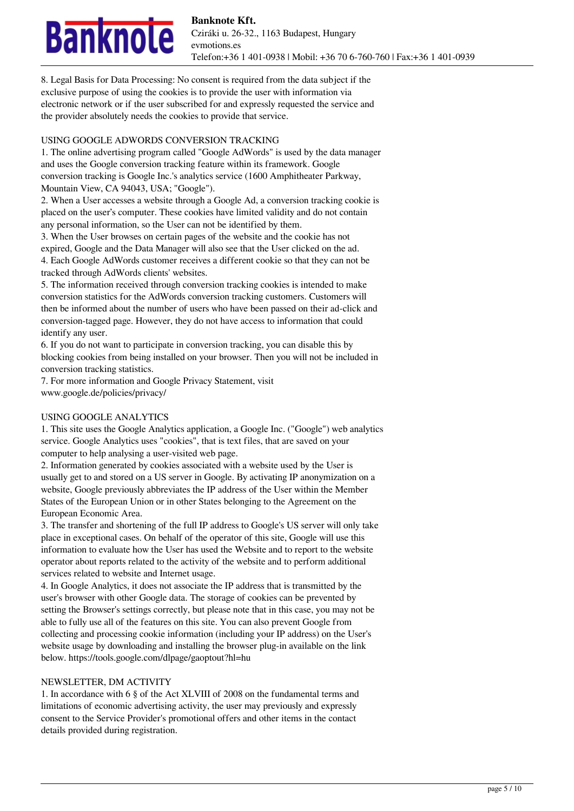# nknole

8. Legal Basis for Data Processing: No consent is required from the data subject if the exclusive purpose of using the cookies is to provide the user with information via electronic network or if the user subscribed for and expressly requested the service and the provider absolutely needs the cookies to provide that service.

# USING GOOGLE ADWORDS CONVERSION TRACKING

1. The online advertising program called "Google AdWords" is used by the data manager and uses the Google conversion tracking feature within its framework. Google conversion tracking is Google Inc.'s analytics service (1600 Amphitheater Parkway, Mountain View, CA 94043, USA; "Google").

2. When a User accesses a website through a Google Ad, a conversion tracking cookie is placed on the user's computer. These cookies have limited validity and do not contain any personal information, so the User can not be identified by them.

3. When the User browses on certain pages of the website and the cookie has not expired, Google and the Data Manager will also see that the User clicked on the ad. 4. Each Google AdWords customer receives a different cookie so that they can not be tracked through AdWords clients' websites.

5. The information received through conversion tracking cookies is intended to make conversion statistics for the AdWords conversion tracking customers. Customers will then be informed about the number of users who have been passed on their ad-click and conversion-tagged page. However, they do not have access to information that could identify any user.

6. If you do not want to participate in conversion tracking, you can disable this by blocking cookies from being installed on your browser. Then you will not be included in conversion tracking statistics.

7. For more information and Google Privacy Statement, visit www.google.de/policies/privacy/

# USING GOOGLE ANALYTICS

1. This site uses the Google Analytics application, a Google Inc. ("Google") web analytics service. Google Analytics uses "cookies", that is text files, that are saved on your computer to help analysing a user-visited web page.

2. Information generated by cookies associated with a website used by the User is usually get to and stored on a US server in Google. By activating IP anonymization on a website, Google previously abbreviates the IP address of the User within the Member States of the European Union or in other States belonging to the Agreement on the European Economic Area.

3. The transfer and shortening of the full IP address to Google's US server will only take place in exceptional cases. On behalf of the operator of this site, Google will use this information to evaluate how the User has used the Website and to report to the website operator about reports related to the activity of the website and to perform additional services related to website and Internet usage.

4. In Google Analytics, it does not associate the IP address that is transmitted by the user's browser with other Google data. The storage of cookies can be prevented by setting the Browser's settings correctly, but please note that in this case, you may not be able to fully use all of the features on this site. You can also prevent Google from collecting and processing cookie information (including your IP address) on the User's website usage by downloading and installing the browser plug-in available on the link below. https://tools.google.com/dlpage/gaoptout?hl=hu

# NEWSLETTER, DM ACTIVITY

1. In accordance with 6 § of the Act XLVIII of 2008 on the fundamental terms and limitations of economic advertising activity, the user may previously and expressly consent to the Service Provider's promotional offers and other items in the contact details provided during registration.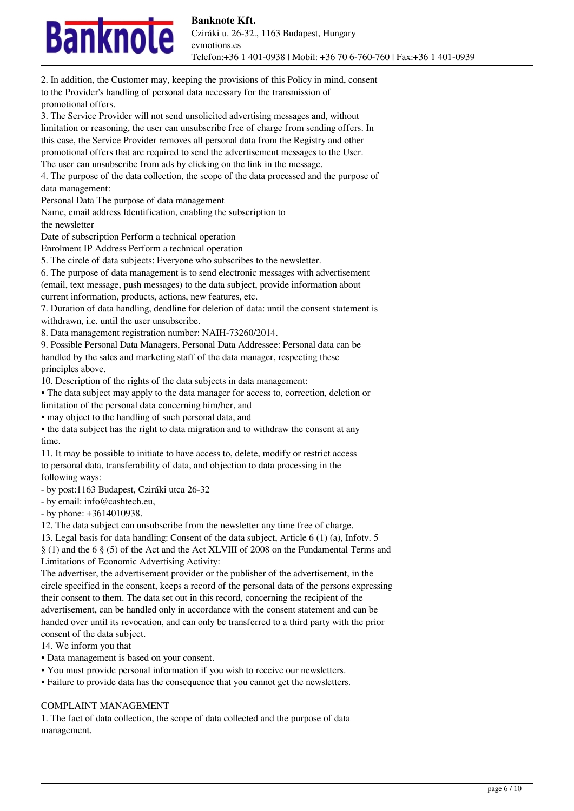# nknole

promotional offers. 3. The Service Provider will not send unsolicited advertising messages and, without limitation or reasoning, the user can unsubscribe free of charge from sending offers. In this case, the Service Provider removes all personal data from the Registry and other promotional offers that are required to send the advertisement messages to the User. The user can unsubscribe from ads by clicking on the link in the message. 4. The purpose of the data collection, the scope of the data processed and the purpose of data management: Personal Data The purpose of data management Name, email address Identification, enabling the subscription to the newsletter Date of subscription Perform a technical operation Enrolment IP Address Perform a technical operation 5. The circle of data subjects: Everyone who subscribes to the newsletter. 6. The purpose of data management is to send electronic messages with advertisement (email, text message, push messages) to the data subject, provide information about current information, products, actions, new features, etc. 7. Duration of data handling, deadline for deletion of data: until the consent statement is withdrawn, i.e. until the user unsubscribe. 8. Data management registration number: NAIH-73260/2014. 9. Possible Personal Data Managers, Personal Data Addressee: Personal data can be handled by the sales and marketing staff of the data manager, respecting these principles above. 10. Description of the rights of the data subjects in data management: • The data subject may apply to the data manager for access to, correction, deletion or limitation of the personal data concerning him/her, and • may object to the handling of such personal data, and • the data subject has the right to data migration and to withdraw the consent at any time. 11. It may be possible to initiate to have access to, delete, modify or restrict access to personal data, transferability of data, and objection to data processing in the following ways: - by post:1163 Budapest, Cziráki utca 26-32 - by email: info@cashtech.eu, - by phone: +3614010938. 12. The data subject can unsubscribe from the newsletter any time free of charge. 13. Legal basis for data handling: Consent of the data subject, Article 6 (1) (a), Infotv. 5 § (1) and the 6 § (5) of the Act and the Act XLVIII of 2008 on the Fundamental Terms and Limitations of Economic Advertising Activity: The advertiser, the advertisement provider or the publisher of the advertisement, in the circle specified in the consent, keeps a record of the personal data of the persons expressing their consent to them. The data set out in this record, concerning the recipient of the advertisement, can be handled only in accordance with the consent statement and can be handed over until its revocation, and can only be transferred to a third party with the prior

2. In addition, the Customer may, keeping the provisions of this Policy in mind, consent

to the Provider's handling of personal data necessary for the transmission of

consent of the data subject.

14. We inform you that

• Data management is based on your consent.

• You must provide personal information if you wish to receive our newsletters.

• Failure to provide data has the consequence that you cannot get the newsletters.

#### COMPLAINT MANAGEMENT

1. The fact of data collection, the scope of data collected and the purpose of data management.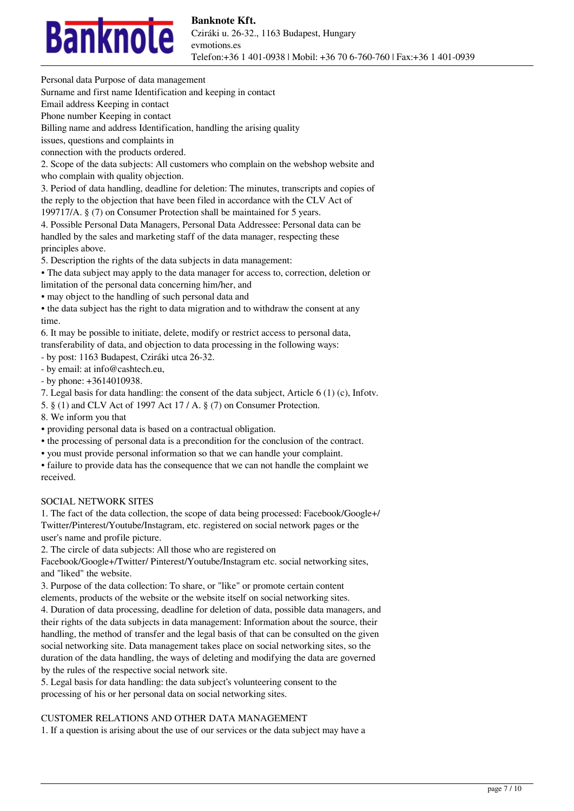

Personal data Purpose of data management

Surname and first name Identification and keeping in contact

Email address Keeping in contact

Phone number Keeping in contact

Billing name and address Identification, handling the arising quality

issues, questions and complaints in

connection with the products ordered.

2. Scope of the data subjects: All customers who complain on the webshop website and who complain with quality objection.

3. Period of data handling, deadline for deletion: The minutes, transcripts and copies of the reply to the objection that have been filed in accordance with the CLV Act of

199717/A. § (7) on Consumer Protection shall be maintained for 5 years.

4. Possible Personal Data Managers, Personal Data Addressee: Personal data can be handled by the sales and marketing staff of the data manager, respecting these principles above.

5. Description the rights of the data subjects in data management:

• The data subject may apply to the data manager for access to, correction, deletion or

limitation of the personal data concerning him/her, and

• may object to the handling of such personal data and

• the data subject has the right to data migration and to withdraw the consent at any time.

6. It may be possible to initiate, delete, modify or restrict access to personal data, transferability of data, and objection to data processing in the following ways:

- by post: 1163 Budapest, Cziráki utca 26-32.

- by email: at info@cashtech.eu,

- by phone: +3614010938.

7. Legal basis for data handling: the consent of the data subject, Article 6 (1) (c), Infotv.

5. § (1) and CLV Act of 1997 Act 17 / A. § (7) on Consumer Protection.

8. We inform you that

• providing personal data is based on a contractual obligation.

• the processing of personal data is a precondition for the conclusion of the contract.

• you must provide personal information so that we can handle your complaint.

• failure to provide data has the consequence that we can not handle the complaint we received.

#### SOCIAL NETWORK SITES

1. The fact of the data collection, the scope of data being processed: Facebook/Google+/ Twitter/Pinterest/Youtube/Instagram, etc. registered on social network pages or the user's name and profile picture.

2. The circle of data subjects: All those who are registered on

Facebook/Google+/Twitter/ Pinterest/Youtube/Instagram etc. social networking sites, and "liked" the website.

3. Purpose of the data collection: To share, or "like" or promote certain content elements, products of the website or the website itself on social networking sites.

4. Duration of data processing, deadline for deletion of data, possible data managers, and their rights of the data subjects in data management: Information about the source, their handling, the method of transfer and the legal basis of that can be consulted on the given social networking site. Data management takes place on social networking sites, so the duration of the data handling, the ways of deleting and modifying the data are governed by the rules of the respective social network site.

5. Legal basis for data handling: the data subject's volunteering consent to the processing of his or her personal data on social networking sites.

#### CUSTOMER RELATIONS AND OTHER DATA MANAGEMENT

1. If a question is arising about the use of our services or the data subject may have a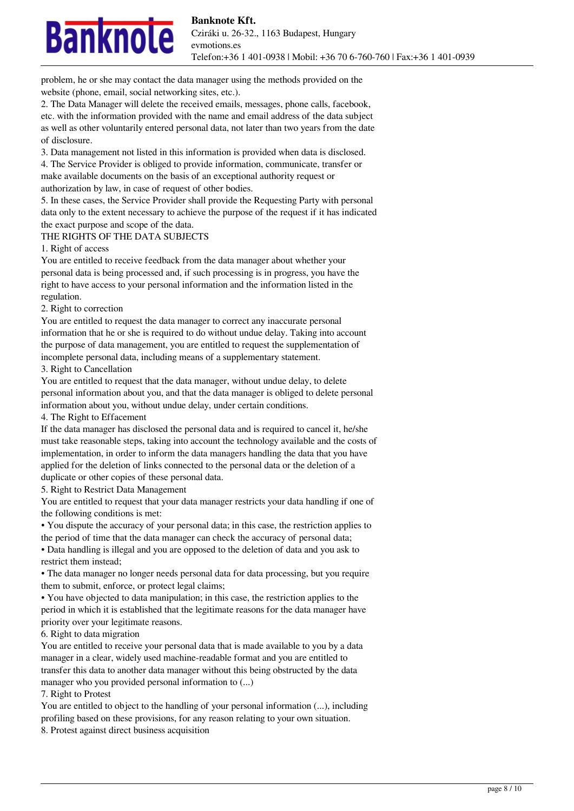

problem, he or she may contact the data manager using the methods provided on the website (phone, email, social networking sites, etc.).

2. The Data Manager will delete the received emails, messages, phone calls, facebook, etc. with the information provided with the name and email address of the data subject as well as other voluntarily entered personal data, not later than two years from the date of disclosure.

3. Data management not listed in this information is provided when data is disclosed. 4. The Service Provider is obliged to provide information, communicate, transfer or make available documents on the basis of an exceptional authority request or authorization by law, in case of request of other bodies.

5. In these cases, the Service Provider shall provide the Requesting Party with personal data only to the extent necessary to achieve the purpose of the request if it has indicated the exact purpose and scope of the data.

#### THE RIGHTS OF THE DATA SUBJECTS

1. Right of access

You are entitled to receive feedback from the data manager about whether your personal data is being processed and, if such processing is in progress, you have the right to have access to your personal information and the information listed in the regulation.

#### 2. Right to correction

You are entitled to request the data manager to correct any inaccurate personal information that he or she is required to do without undue delay. Taking into account the purpose of data management, you are entitled to request the supplementation of incomplete personal data, including means of a supplementary statement.

3. Right to Cancellation

You are entitled to request that the data manager, without undue delay, to delete personal information about you, and that the data manager is obliged to delete personal information about you, without undue delay, under certain conditions.

4. The Right to Effacement

If the data manager has disclosed the personal data and is required to cancel it, he/she must take reasonable steps, taking into account the technology available and the costs of implementation, in order to inform the data managers handling the data that you have applied for the deletion of links connected to the personal data or the deletion of a duplicate or other copies of these personal data.

5. Right to Restrict Data Management

You are entitled to request that your data manager restricts your data handling if one of the following conditions is met:

• You dispute the accuracy of your personal data; in this case, the restriction applies to the period of time that the data manager can check the accuracy of personal data;

• Data handling is illegal and you are opposed to the deletion of data and you ask to restrict them instead;

• The data manager no longer needs personal data for data processing, but you require them to submit, enforce, or protect legal claims;

• You have objected to data manipulation; in this case, the restriction applies to the period in which it is established that the legitimate reasons for the data manager have priority over your legitimate reasons.

6. Right to data migration

You are entitled to receive your personal data that is made available to you by a data manager in a clear, widely used machine-readable format and you are entitled to transfer this data to another data manager without this being obstructed by the data manager who you provided personal information to (...)

7. Right to Protest

You are entitled to object to the handling of your personal information  $(...)$ , including profiling based on these provisions, for any reason relating to your own situation.

8. Protest against direct business acquisition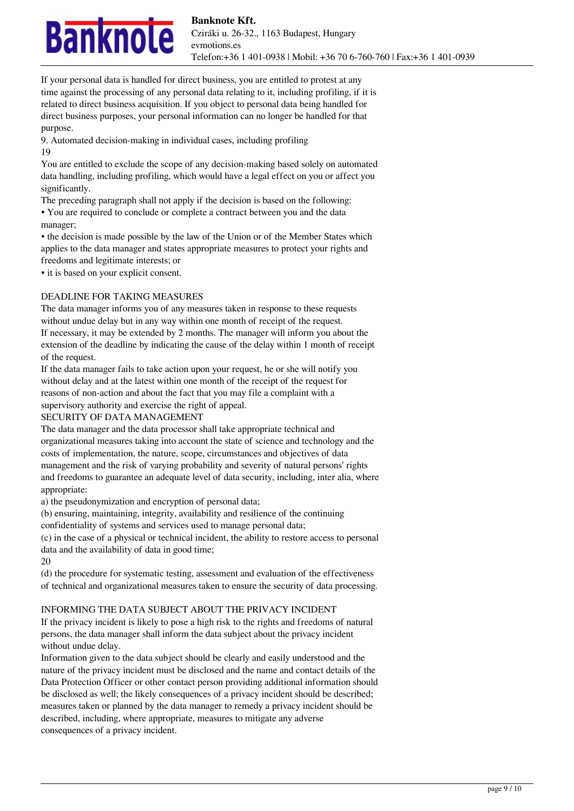

If your personal data is handled for direct business, you are entitled to protest at any time against the processing of any personal data relating to it, including profiling, if it is related to direct business acquisition. If you object to personal data being handled for direct business purposes, your personal information can no longer be handled for that purpose.

9. Automated decision-making in individual cases, including profiling 19

You are entitled to exclude the scope of any decision-making based solely on automated data handling, including profiling, which would have a legal effect on you or affect you significantly.

The preceding paragraph shall not apply if the decision is based on the following: • You are required to conclude or complete a contract between you and the data manager;

• the decision is made possible by the law of the Union or of the Member States which applies to the data manager and states appropriate measures to protect your rights and freedoms and legitimate interests; or

• it is based on your explicit consent.

# DEADLINE FOR TAKING MEASURES

The data manager informs you of any measures taken in response to these requests without undue delay but in any way within one month of receipt of the request. If necessary, it may be extended by 2 months. The manager will inform you about the extension of the deadline by indicating the cause of the delay within 1 month of receipt of the request.

If the data manager fails to take action upon your request, he or she will notify you without delay and at the latest within one month of the receipt of the request for reasons of non-action and about the fact that you may file a complaint with a supervisory authority and exercise the right of appeal.

# SECURITY OF DATA MANAGEMENT

The data manager and the data processor shall take appropriate technical and organizational measures taking into account the state of science and technology and the costs of implementation, the nature, scope, circumstances and objectives of data management and the risk of varying probability and severity of natural persons' rights and freedoms to guarantee an adequate level of data security, including, inter alia, where appropriate:

a) the pseudonymization and encryption of personal data;

(b) ensuring, maintaining, integrity, availability and resilience of the continuing

confidentiality of systems and services used to manage personal data;

(c) in the case of a physical or technical incident, the ability to restore access to personal data and the availability of data in good time;

20

(d) the procedure for systematic testing, assessment and evaluation of the effectiveness of technical and organizational measures taken to ensure the security of data processing.

# INFORMING THE DATA SUBJECT ABOUT THE PRIVACY INCIDENT

If the privacy incident is likely to pose a high risk to the rights and freedoms of natural persons, the data manager shall inform the data subject about the privacy incident without undue delay.

Information given to the data subject should be clearly and easily understood and the nature of the privacy incident must be disclosed and the name and contact details of the Data Protection Officer or other contact person providing additional information should be disclosed as well; the likely consequences of a privacy incident should be described; measures taken or planned by the data manager to remedy a privacy incident should be described, including, where appropriate, measures to mitigate any adverse consequences of a privacy incident.